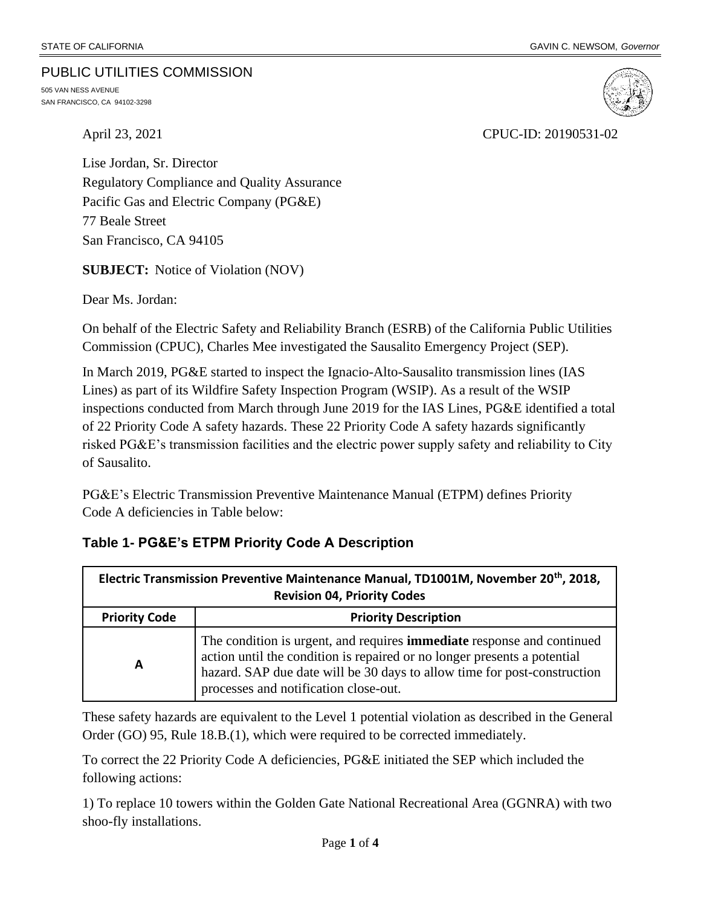#### PUBLIC UTILITIES COMMISSION

505 VAN NESS AVENUE SAN FRANCISCO, CA 94102-3298



April 23, 2021 CPUC-ID: 20190531-02

Lise Jordan, Sr. Director Regulatory Compliance and Quality Assurance Pacific Gas and Electric Company (PG&E) 77 Beale Street San Francisco, CA 94105

**SUBJECT:** Notice of Violation (NOV)

Dear Ms. Jordan:

On behalf of the Electric Safety and Reliability Branch (ESRB) of the California Public Utilities Commission (CPUC), Charles Mee investigated the Sausalito Emergency Project (SEP).

In March 2019, PG&E started to inspect the Ignacio-Alto-Sausalito transmission lines (IAS Lines) as part of its Wildfire Safety Inspection Program (WSIP). As a result of the WSIP inspections conducted from March through June 2019 for the IAS Lines, PG&E identified a total of 22 Priority Code A safety hazards. These 22 Priority Code A safety hazards significantly risked PG&E's transmission facilities and the electric power supply safety and reliability to City of Sausalito.

PG&E's Electric Transmission Preventive Maintenance Manual (ETPM) defines Priority Code A deficiencies in Table below:

| Electric Transmission Preventive Maintenance Manual, TD1001M, November 20th, 2018,<br><b>Revision 04, Priority Codes</b> |                                                                                                                                                                                                                                                                                |  |  |  |  |
|--------------------------------------------------------------------------------------------------------------------------|--------------------------------------------------------------------------------------------------------------------------------------------------------------------------------------------------------------------------------------------------------------------------------|--|--|--|--|
| <b>Priority Code</b>                                                                                                     | <b>Priority Description</b>                                                                                                                                                                                                                                                    |  |  |  |  |
| А                                                                                                                        | The condition is urgent, and requires <b>immediate</b> response and continued<br>action until the condition is repaired or no longer presents a potential<br>hazard. SAP due date will be 30 days to allow time for post-construction<br>processes and notification close-out. |  |  |  |  |

### **Table 1- PG&E's ETPM Priority Code A Description**

These safety hazards are equivalent to the Level 1 potential violation as described in the General Order (GO) 95, Rule 18.B.(1), which were required to be corrected immediately.

To correct the 22 Priority Code A deficiencies, PG&E initiated the SEP which included the following actions:

1) To replace 10 towers within the Golden Gate National Recreational Area (GGNRA) with two shoo-fly installations.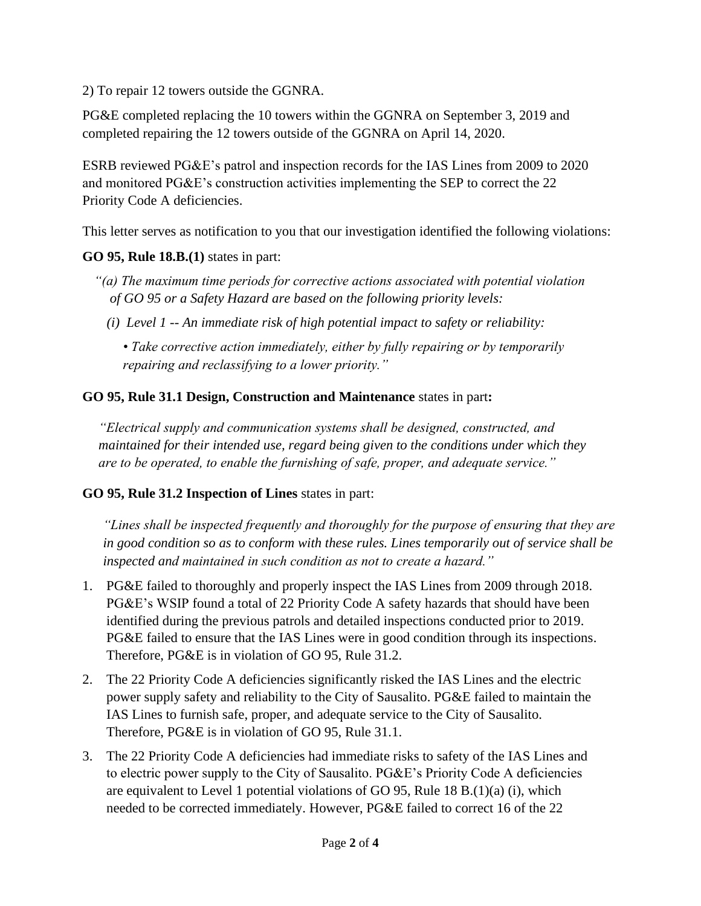2) To repair 12 towers outside the GGNRA.

PG&E completed replacing the 10 towers within the GGNRA on September 3, 2019 and completed repairing the 12 towers outside of the GGNRA on April 14, 2020.

ESRB reviewed PG&E's patrol and inspection records for the IAS Lines from 2009 to 2020 and monitored PG&E's construction activities implementing the SEP to correct the 22 Priority Code A deficiencies.

This letter serves as notification to you that our investigation identified the following violations:

### **GO 95, Rule 18.B.(1)** states in part:

- *"(a) The maximum time periods for corrective actions associated with potential violation of GO 95 or a Safety Hazard are based on the following priority levels:* 
	- *(i) Level 1 -- An immediate risk of high potential impact to safety or reliability:*

*• Take corrective action immediately, either by fully repairing or by temporarily repairing and reclassifying to a lower priority."*

## **GO 95, Rule 31.1 Design, Construction and Maintenance** states in part**:**

*"Electrical supply and communication systems shall be designed, constructed, and maintained for their intended use, regard being given to the conditions under which they are to be operated, to enable the furnishing of safe, proper, and adequate service."* 

# **GO 95, Rule 31.2 Inspection of Lines** states in part:

*"Lines shall be inspected frequently and thoroughly for the purpose of ensuring that they are in good condition so as to conform with these rules. Lines temporarily out of service shall be inspected and maintained in such condition as not to create a hazard."*

- 1. PG&E failed to thoroughly and properly inspect the IAS Lines from 2009 through 2018. PG&E's WSIP found a total of 22 Priority Code A safety hazards that should have been identified during the previous patrols and detailed inspections conducted prior to 2019. PG&E failed to ensure that the IAS Lines were in good condition through its inspections. Therefore, PG&E is in violation of GO 95, Rule 31.2.
- 2. The 22 Priority Code A deficiencies significantly risked the IAS Lines and the electric power supply safety and reliability to the City of Sausalito. PG&E failed to maintain the IAS Lines to furnish safe, proper, and adequate service to the City of Sausalito. Therefore, PG&E is in violation of GO 95, Rule 31.1.
- 3. The 22 Priority Code A deficiencies had immediate risks to safety of the IAS Lines and to electric power supply to the City of Sausalito. PG&E's Priority Code A deficiencies are equivalent to Level 1 potential violations of GO 95, Rule 18 B.(1)(a) (i), which needed to be corrected immediately. However, PG&E failed to correct 16 of the 22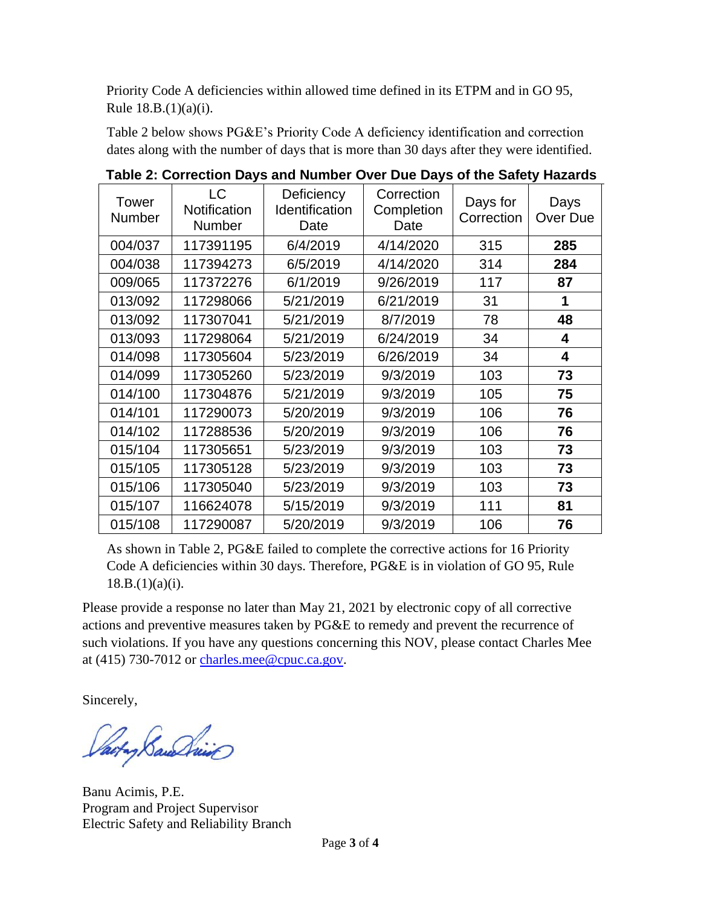Priority Code A deficiencies within allowed time defined in its ETPM and in GO 95, Rule 18.B.(1)(a)(i).

Table 2 below shows PG&E's Priority Code A deficiency identification and correction dates along with the number of days that is more than 30 days after they were identified.

| <b>Tower</b><br>Number | <b>LC</b><br>Notification<br><b>Number</b> | Deficiency<br>Identification<br>Date | Correction<br>Completion<br>Date | Days for<br>Correction | Days<br>Over Due |
|------------------------|--------------------------------------------|--------------------------------------|----------------------------------|------------------------|------------------|
| 004/037                | 117391195                                  | 6/4/2019                             | 4/14/2020                        | 315                    | 285              |
| 004/038                | 117394273                                  | 6/5/2019                             | 4/14/2020                        | 314                    | 284              |
| 009/065                | 117372276                                  | 6/1/2019                             | 9/26/2019                        | 117                    | 87               |
| 013/092                | 117298066                                  | 5/21/2019                            | 6/21/2019                        | 31                     | 1                |
| 013/092                | 117307041                                  | 5/21/2019                            | 8/7/2019                         | 78                     | 48               |
| 013/093                | 117298064                                  | 5/21/2019                            | 6/24/2019                        | 34                     | 4                |
| 014/098                | 117305604                                  | 5/23/2019                            | 6/26/2019                        | 34                     | 4                |
| 014/099                | 117305260                                  | 5/23/2019                            | 9/3/2019                         | 103                    | 73               |
| 014/100                | 117304876                                  | 5/21/2019                            | 9/3/2019                         | 105                    | 75               |
| 014/101                | 117290073                                  | 5/20/2019                            | 9/3/2019                         | 106                    | 76               |
| 014/102                | 117288536                                  | 5/20/2019                            | 9/3/2019                         | 106                    | 76               |
| 015/104                | 117305651                                  | 5/23/2019                            | 9/3/2019                         | 103                    | 73               |
| 015/105                | 117305128                                  | 5/23/2019                            | 9/3/2019                         | 103                    | 73               |
| 015/106                | 117305040                                  | 5/23/2019                            | 9/3/2019                         | 103                    | 73               |
| 015/107                | 116624078                                  | 5/15/2019                            | 9/3/2019                         | 111                    | 81               |
| 015/108                | 117290087                                  | 5/20/2019                            | 9/3/2019                         | 106                    | 76               |

**Table 2: Correction Days and Number Over Due Days of the Safety Hazards**

As shown in Table 2, PG&E failed to complete the corrective actions for 16 Priority Code A deficiencies within 30 days. Therefore, PG&E is in violation of GO 95, Rule  $18.B.(1)(a)(i).$ 

Please provide a response no later than May 21, 2021 by electronic copy of all corrective actions and preventive measures taken by PG&E to remedy and prevent the recurrence of such violations. If you have any questions concerning this NOV, please contact Charles Mee at (415) 730-7012 or [charles.mee@cpuc.ca.gov.](mailto:charles.mee@cpuc.ca.gov)

Sincerely,

acto Baundino

Banu Acimis, P.E. Program and Project Supervisor Electric Safety and Reliability Branch